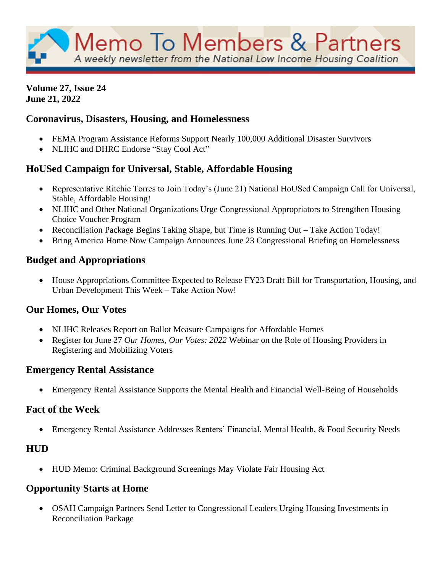#### **Volume 27, Issue 24 June 21, 2022**

# **Coronavirus, Disasters, Housing, and Homelessness**

- FEMA Program Assistance Reforms Support Nearly 100,000 Additional Disaster Survivors
- NLIHC and DHRC Endorse "Stay Cool Act"

# **HoUSed Campaign for Universal, Stable, Affordable Housing**

- Representative Ritchie Torres to Join Today's (June 21) National HoUSed Campaign Call for Universal, Stable, Affordable Housing!
- NLIHC and Other National Organizations Urge Congressional Appropriators to Strengthen Housing Choice Voucher Program
- Reconciliation Package Begins Taking Shape, but Time is Running Out Take Action Today!
- Bring America Home Now Campaign Announces June 23 Congressional Briefing on Homelessness

# **Budget and Appropriations**

• House Appropriations Committee Expected to Release FY23 Draft Bill for Transportation, Housing, and Urban Development This Week – Take Action Now!

# **Our Homes, Our Votes**

- NLIHC Releases Report on Ballot Measure Campaigns for Affordable Homes
- Register for June 27 *Our Homes, Our Votes: 2022* Webinar on the Role of Housing Providers in Registering and Mobilizing Voters

#### **Emergency Rental Assistance**

• Emergency Rental Assistance Supports the Mental Health and Financial Well-Being of Households

#### **Fact of the Week**

• Emergency Rental Assistance Addresses Renters' Financial, Mental Health, & Food Security Needs

# **HUD**

• HUD Memo: Criminal Background Screenings May Violate Fair Housing Act

# **Opportunity Starts at Home**

• OSAH Campaign Partners Send Letter to Congressional Leaders Urging Housing Investments in Reconciliation Package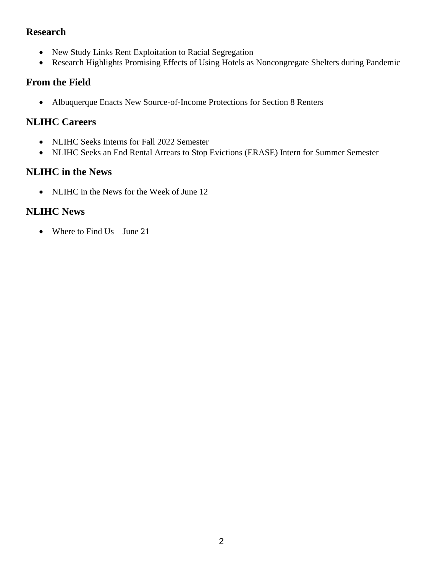#### **Research**

- New Study Links Rent Exploitation to Racial Segregation
- Research Highlights Promising Effects of Using Hotels as Noncongregate Shelters during Pandemic

# **From the Field**

• Albuquerque Enacts New Source-of-Income Protections for Section 8 Renters

### **NLIHC Careers**

- NLIHC Seeks Interns for Fall 2022 Semester
- NLIHC Seeks an End Rental Arrears to Stop Evictions (ERASE) Intern for Summer Semester

# **NLIHC in the News**

• NLIHC in the News for the Week of June 12

# **NLIHC News**

• Where to Find Us – June 21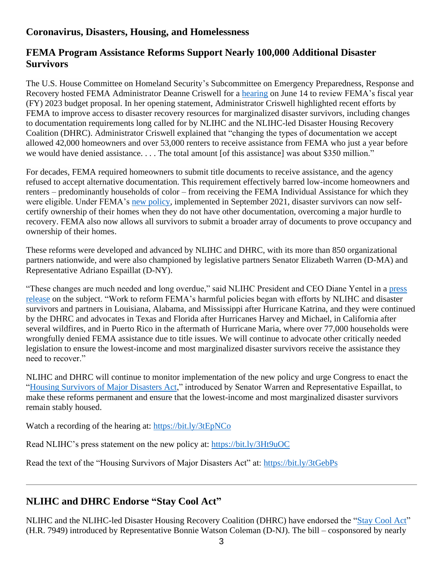### **Coronavirus, Disasters, Housing, and Homelessness**

#### **FEMA Program Assistance Reforms Support Nearly 100,000 Additional Disaster Survivors**

The U.S. House Committee on Homeland Security's Subcommittee on Emergency Preparedness, Response and Recovery hosted FEMA Administrator Deanne Criswell for a [hearing](https://bit.ly/3tEpNCo) on June 14 to review FEMA's fiscal year (FY) 2023 budget proposal. In her opening statement, Administrator Criswell highlighted recent efforts by FEMA to improve access to disaster recovery resources for marginalized disaster survivors, including changes to documentation requirements long called for by NLIHC and the NLIHC-led Disaster Housing Recovery Coalition (DHRC). Administrator Criswell explained that "changing the types of documentation we accept allowed 42,000 homeowners and over 53,000 renters to receive assistance from FEMA who just a year before we would have denied assistance. . . . The total amount [of this assistance] was about \$350 million."

For decades, FEMA required homeowners to submit title documents to receive assistance, and the agency refused to accept alternative documentation. This requirement effectively barred low-income homeowners and renters – predominantly households of color – from receiving the FEMA Individual Assistance for which they were eligible. Under FEMA's [new policy,](https://nlihc.org/resource/fema-announces-major-improvements-low-income-disaster-survivors) implemented in September 2021, disaster survivors can now selfcertify ownership of their homes when they do not have other documentation, overcoming a major hurdle to recovery. FEMA also now allows all survivors to submit a broader array of documents to prove occupancy and ownership of their homes.

These reforms were developed and advanced by NLIHC and DHRC, with its more than 850 organizational partners nationwide, and were also championed by legislative partners Senator Elizabeth Warren (D-MA) and Representative Adriano Espaillat (D-NY).

"These changes are much needed and long overdue," said NLIHC President and CEO Diane Yentel in a [press](https://nlihc.org/news/nlihc-statement-fema-program-assistance-reforms-supporting-nearly-100000-additional-disaster)  [release](https://nlihc.org/news/nlihc-statement-fema-program-assistance-reforms-supporting-nearly-100000-additional-disaster) on the subject. "Work to reform FEMA's harmful policies began with efforts by NLIHC and disaster survivors and partners in Louisiana, Alabama, and Mississippi after Hurricane Katrina, and they were continued by the DHRC and advocates in Texas and Florida after Hurricanes Harvey and Michael, in California after several wildfires, and in Puerto Rico in the aftermath of Hurricane Maria, where over 77,000 households were wrongfully denied FEMA assistance due to title issues. We will continue to advocate other critically needed legislation to ensure the lowest-income and most marginalized disaster survivors receive the assistance they need to recover."

NLIHC and DHRC will continue to monitor implementation of the new policy and urge Congress to enact the ["Housing Survivors of Major Disasters Act,](https://bit.ly/3tGebPs)" introduced by Senator Warren and Representative Espaillat, to make these reforms permanent and ensure that the lowest-income and most marginalized disaster survivors remain stably housed.

Watch a recording of the hearing at:<https://bit.ly/3tEpNCo>

Read NLIHC's press statement on the new policy at:<https://bit.ly/3Ht9uOC>

Read the text of the "Housing Survivors of Major Disasters Act" at:<https://bit.ly/3tGebPs>

# **NLIHC and DHRC Endorse "Stay Cool Act"**

NLIHC and the NLIHC-led Disaster Housing Recovery Coalition (DHRC) have endorsed the ["Stay Cool Act"](https://bit.ly/3HuDIRo) (H.R. 7949) introduced by Representative Bonnie Watson Coleman (D-NJ). The bill – cosponsored by nearly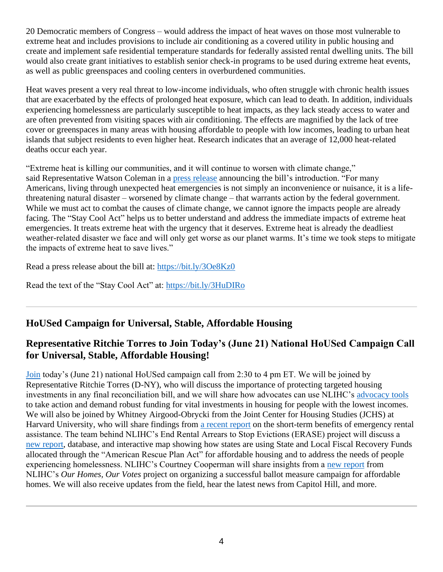20 Democratic members of Congress – would address the impact of heat waves on those most vulnerable to extreme heat and includes provisions to include air conditioning as a covered utility in public housing and create and implement safe residential temperature standards for federally assisted rental dwelling units. The bill would also create grant initiatives to establish senior check-in programs to be used during extreme heat events, as well as public greenspaces and cooling centers in overburdened communities.

Heat waves present a very real threat to low-income individuals, who often struggle with chronic health issues that are exacerbated by the effects of prolonged heat exposure, which can lead to death. In addition, individuals experiencing homelessness are particularly susceptible to heat impacts, as they lack steady access to water and are often prevented from visiting spaces with air conditioning. The effects are magnified by the lack of tree cover or greenspaces in many areas with housing affordable to people with low incomes, leading to urban heat islands that subject residents to even higher heat. Research indicates that an average of 12,000 heat-related deaths occur each year.

"Extreme heat is killing our communities, and it will continue to worsen with climate change," said Representative Watson Coleman in a [press release](https://watsoncoleman.house.gov/newsroom/press-releases/rep-watson-coleman-introduces-the-stay-cool-act-to-better-prepare-communities-to-address-heat-emergencies) announcing the bill's introduction. "For many Americans, living through unexpected heat emergencies is not simply an inconvenience or nuisance, it is a lifethreatening natural disaster – worsened by climate change – that warrants action by the federal government. While we must act to combat the causes of climate change, we cannot ignore the impacts people are already facing. The "Stay Cool Act" helps us to better understand and address the immediate impacts of extreme heat emergencies. It treats extreme heat with the urgency that it deserves. Extreme heat is already the deadliest weather-related disaster we face and will only get worse as our planet warms. It's time we took steps to mitigate the impacts of extreme heat to save lives."    

Read a press release about the bill at:<https://bit.ly/3Oe8Kz0>

Read the text of the "Stay Cool Act" at:<https://bit.ly/3HuDIRo>

# **HoUSed Campaign for Universal, Stable, Affordable Housing**

### **Representative Ritchie Torres to Join Today's (June 21) National HoUSed Campaign Call for Universal, Stable, Affordable Housing!**

[Join](https://us02web.zoom.us/webinar/register/WN_1XN2P7w2QnWvVc6Kp1q-nQ?utm_source=NLIHC+All+Subscribers&utm_campaign=5dc15097df-natl-call_102521&utm_medium=email&utm_term=0_e090383b5e-5dc15097df-&ct=t(natl-call_102521)) today's (June 21) national HoUSed campaign call from 2:30 to 4 pm ET. We will be joined by Representative Ritchie Torres (D-NY), who will discuss the importance of protecting targeted housing investments in any final reconciliation bill, and we will share how advocates can use NLIHC's [advocacy tools](https://nlihc.org/sites/default/files/HoUSed_budget-reconciliation-toolkit.pdf?utm_source=NLIHC+All+Subscribers&utm_campaign=dcb7b40be8-cta_Housed_061322&utm_medium=email&utm_term=0_e090383b5e-dcb7b40be8-293365474&ct=t(cta_Housed_061322)&utm_source=NLIHC+All+Subscribers&utm_campaign=4ca1d47774-natl-call_061722&utm_medium=email&utm_term=0_e090383b5e-4ca1d47774-292697541&ct=t(natl-call_061722)) to take action and demand robust funding for vital investments in housing for people with the lowest incomes. We will also be joined by Whitney Airgood-Obrycki from the Joint Center for Housing Studies (JCHS) at Harvard University, who will share findings from [a recent report](https://www.jchs.harvard.edu/blog/short-term-benefits-emergency-rental-assistance-extend-beyond-housing?utm_source=NLIHC+All+Subscribers&utm_campaign=4ca1d47774-natl-call_061722&utm_medium=email&utm_term=0_e090383b5e-4ca1d47774-292697541&ct=t(natl-call_061722)) on the short-term benefits of emergency rental assistance. The team behind NLIHC's End Rental Arrears to Stop Evictions (ERASE) project will discuss a [new report,](https://nlihc.org/sites/default/files/State-and-Local-Fiscal-Recovery-Funds-Initial-Trends-in-Housing-Investments.pdf?utm_source=NLIHC+All+Subscribers&utm_campaign=4ca1d47774-natl-call_061722&utm_medium=email&utm_term=0_e090383b5e-4ca1d47774-292697541&ct=t(natl-call_061722)) database, and interactive map showing how states are using State and Local Fiscal Recovery Funds allocated through the "American Rescue Plan Act" for affordable housing and to address the needs of people experiencing homelessness. NLIHC's Courtney Cooperman will share insights from a [new report](https://nlihc.org/sites/default/files/2022-Ballot-Initiative.pdf?utm_source=NLIHC+All+Subscribers&utm_campaign=71cdf28758-report_06142022&utm_medium=email&utm_term=0_e090383b5e-71cdf28758-&ct=t(report_06142022)&utm_source=NLIHC+All+Subscribers&utm_campaign=4ca1d47774-natl-call_061722&utm_medium=email&utm_term=0_e090383b5e-4ca1d47774-292697541&ct=t(natl-call_061722)) from NLIHC's *Our Homes, Our Votes* project on organizing a successful ballot measure campaign for affordable homes. We will also receive updates from the field, hear the latest news from Capitol Hill, and more.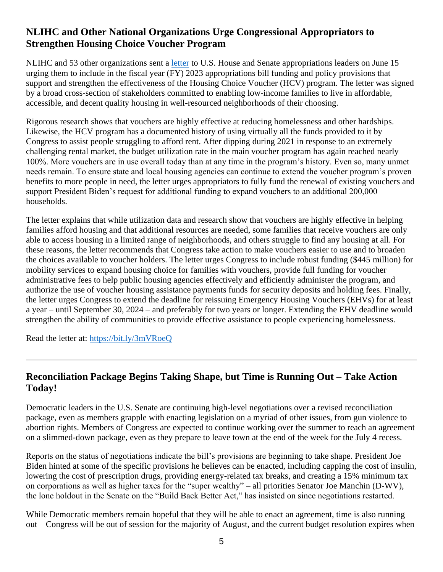# **NLIHC and Other National Organizations Urge Congressional Appropriators to Strengthen Housing Choice Voucher Program**

NLIHC and 53 other organizations sent a [letter](https://nlihc.org/sites/default/files/Voucher-Funding_Sign-On_6-15-22.pdf) to U.S. House and Senate appropriations leaders on June 15 urging them to include in the fiscal year (FY) 2023 appropriations bill funding and policy provisions that support and strengthen the effectiveness of the Housing Choice Voucher (HCV) program. The letter was signed by a broad cross-section of stakeholders committed to enabling low-income families to live in affordable, accessible, and decent quality housing in well-resourced neighborhoods of their choosing.

Rigorous research shows that vouchers are highly effective at reducing homelessness and other hardships. Likewise, the HCV program has a documented history of using virtually all the funds provided to it by Congress to assist people struggling to afford rent. After dipping during 2021 in response to an extremely challenging rental market, the budget utilization rate in the main voucher program has again reached nearly 100%. More vouchers are in use overall today than at any time in the program's history. Even so, many unmet needs remain. To ensure state and local housing agencies can continue to extend the voucher program's proven benefits to more people in need, the letter urges appropriators to fully fund the renewal of existing vouchers and support President Biden's request for additional funding to expand vouchers to an additional 200,000 households.

The letter explains that while utilization data and research show that vouchers are highly effective in helping families afford housing and that additional resources are needed, some families that receive vouchers are only able to access housing in a limited range of neighborhoods, and others struggle to find any housing at all. For these reasons, the letter recommends that Congress take action to make vouchers easier to use and to broaden the choices available to voucher holders. The letter urges Congress to include robust funding (\$445 million) for mobility services to expand housing choice for families with vouchers, provide full funding for voucher administrative fees to help public housing agencies effectively and efficiently administer the program, and authorize the use of voucher housing assistance payments funds for security deposits and holding fees. Finally, the letter urges Congress to extend the deadline for reissuing Emergency Housing Vouchers (EHVs) for at least a year – until September 30, 2024 – and preferably for two years or longer. Extending the EHV deadline would strengthen the ability of communities to provide effective assistance to people experiencing homelessness.

Read the letter at:<https://bit.ly/3mVRoeQ>

### **Reconciliation Package Begins Taking Shape, but Time is Running Out – Take Action Today!**

Democratic leaders in the U.S. Senate are continuing high-level negotiations over a revised reconciliation package, even as members grapple with enacting legislation on a myriad of other issues, from gun violence to abortion rights. Members of Congress are expected to continue working over the summer to reach an agreement on a slimmed-down package, even as they prepare to leave town at the end of the week for the July 4 recess.

Reports on the status of negotiations indicate the bill's provisions are beginning to take shape. President Joe Biden hinted at some of the specific provisions he believes can be enacted, including capping the cost of insulin, lowering the cost of prescription drugs, providing energy-related tax breaks, and creating a 15% minimum tax on corporations as well as higher taxes for the "super wealthy" – all priorities Senator Joe Manchin (D-WV), the lone holdout in the Senate on the "Build Back Better Act," has insisted on since negotiations restarted.

While Democratic members remain hopeful that they will be able to enact an agreement, time is also running out – Congress will be out of session for the majority of August, and the current budget resolution expires when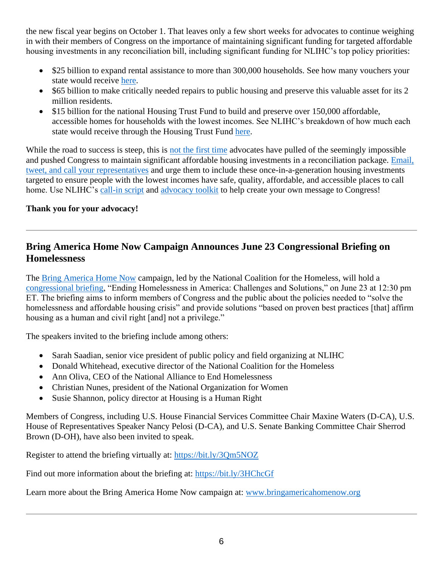the new fiscal year begins on October 1. That leaves only a few short weeks for advocates to continue weighing in with their members of Congress on the importance of maintaining significant funding for targeted affordable housing investments in any reconciliation bill, including significant funding for NLIHC's top policy priorities:

- \$25 billion to expand rental assistance to more than 300,000 households. See how many vouchers your state would receive [here.](https://www.cbpp.org/blog/bbb-includes-major-investments-in-housing-affordability?utm_source=NLIHC+All+Subscribers&utm_campaign=13897dac93-CTA_housed_110421&utm_medium=email&utm_term=0_e090383b5e-13897dac93-293290537&ct=t(CTA_housed_110421)&utm_source=NLIHC+All+Subscribers&utm_campaign=8e00c4b6ce-CTA_housed_111821&utm_medium=email&utm_term=0_e090383b5e-8e00c4b6ce-292697541&ct=t(CTA_housed_111821))
- \$65 billion to make critically needed repairs to public housing and preserve this valuable asset for its 2 million residents.
- \$15 billion for the national Housing Trust Fund to build and preserve over 150,000 affordable, accessible homes for households with the lowest incomes. See NLIHC's breakdown of how much each state would receive through the Housing Trust Fund [here.](https://nlihc.org/sites/default/files/housed_NHTF_allocations-15B.pdf?utm_source=NLIHC+All+Subscribers&utm_campaign=8e00c4b6ce-CTA_housed_111821&utm_medium=email&utm_term=0_e090383b5e-8e00c4b6ce-292697541&ct=t(CTA_housed_111821))

While the road to success is steep, this is [not the first time](https://mailchi.mp/nlihc/cta_housed_102021) advocates have pulled of the seemingly impossible and pushed Congress to maintain significant affordable housing investments in a reconciliation package. [Email,](https://p2a.co/kxwwisl)  [tweet, and call your representatives](https://p2a.co/kxwwisl) and urge them to include these once-in-a-generation housing investments targeted to ensure people with the lowest incomes have safe, quality, affordable, and accessible places to call home. Use NLIHC's [call-in script](https://nlihc.org/sites/default/files/CHCDF_Call_Script.pdf) and [advocacy toolkit](https://nlihc.org/sites/default/files/2022-06/HoUSed_budget-reconciliation-toolkit.pdf) to help create your own message to Congress!

#### **Thank you for your advocacy!**

### **Bring America Home Now Campaign Announces June 23 Congressional Briefing on Homelessness**

The [Bring America Home Now](https://www.bringamericahomenow.org/) campaign, led by the National Coalition for the Homeless, will hold a [congressional briefing,](https://www.bringamericahomenow.org/congressional-briefing-june-2022/) "Ending Homelessness in America: Challenges and Solutions," on June 23 at 12:30 pm ET. The briefing aims to inform members of Congress and the public about the policies needed to "solve the homelessness and affordable housing crisis" and provide solutions "based on proven best practices [that] affirm housing as a human and civil right [and] not a privilege."

The speakers invited to the briefing include among others:

- Sarah Saadian, senior vice president of public policy and field organizing at NLIHC
- Donald Whitehead, executive director of the National Coalition for the Homeless
- Ann Oliva, CEO of the National Alliance to End Homelessness
- Christian Nunes, president of the National Organization for Women
- Susie Shannon, policy director at Housing is a Human Right

Members of Congress, including U.S. House Financial Services Committee Chair Maxine Waters (D-CA), U.S. House of Representatives Speaker Nancy Pelosi (D-CA), and U.S. Senate Banking Committee Chair Sherrod Brown (D-OH), have also been invited to speak.

Register to attend the briefing virtually at:<https://bit.ly/3Qm5NOZ>

Find out more information about the briefing at:<https://bit.ly/3HChcGf>

Learn more about the Bring America Home Now campaign at: [www.bringamericahomenow.org](https://www.bringamericahomenow.org/)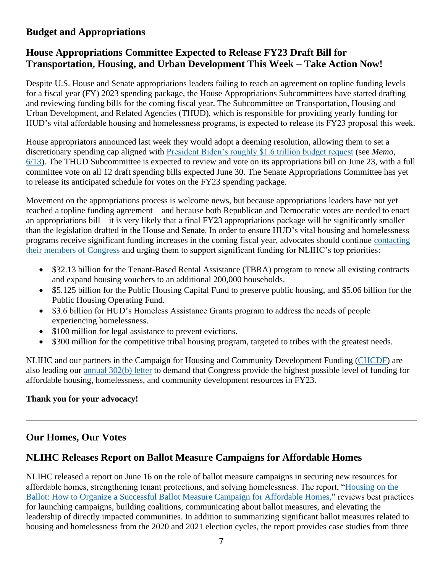## **Budget and Appropriations**

## **House Appropriations Committee Expected to Release FY23 Draft Bill for Transportation, Housing, and Urban Development This Week – Take Action Now!**

Despite U.S. House and Senate appropriations leaders failing to reach an agreement on topline funding levels for a fiscal year (FY) 2023 spending package, the House Appropriations Subcommittees have started drafting and reviewing funding bills for the coming fiscal year. The Subcommittee on Transportation, Housing and Urban Development, and Related Agencies (THUD), which is responsible for providing yearly funding for HUD's vital affordable housing and homelessness programs, is expected to release its FY23 proposal this week.

House appropriators announced last week they would adopt a deeming resolution, allowing them to set a discretionary spending cap aligned with [President Biden's roughly \\$1.6 trillion budget request](https://nlihc.org/resource/analysis-president-bidens-fy-2023-budget-request) (see *Memo*, [6/13\)](https://nlihc.org/resource/reconciliation-and-appropriations-negotiations-gaining-steam-take-action-today). The THUD Subcommittee is expected to review and vote on its appropriations bill on June 23, with a full committee vote on all 12 draft spending bills expected June 30. The Senate Appropriations Committee has yet to release its anticipated schedule for votes on the FY23 spending package.

Movement on the appropriations process is welcome news, but because appropriations leaders have not yet reached a topline funding agreement – and because both Republican and Democratic votes are needed to enact an appropriations bill – it is very likely that a final FY23 appropriations package will be significantly smaller than the legislation drafted in the House and Senate. In order to ensure HUD's vital housing and homelessness programs receive significant funding increases in the coming fiscal year, advocates should continue [contacting](https://nlihc.secure.force.com/actions/TakeActionNew?actionId=AR00943&utm_source=NLIHC+All+Subscribers&utm_campaign=a7b2398138-natl-call_summary_03-28-2022&utm_medium=email&utm_term=0_e090383b5e-a7b2398138-&ct=t(natl-call_summary_03-28-2022)) [their members of Congress](https://nlihc.secure.force.com/actions/TakeActionNew?actionId=AR00943&utm_source=NLIHC+All+Subscribers&utm_campaign=a7b2398138-natl-call_summary_03-28-2022&utm_medium=email&utm_term=0_e090383b5e-a7b2398138-&ct=t(natl-call_summary_03-28-2022)) and urging them to support significant funding for NLIHC's top priorities:

- \$32.13 billion for the Tenant-Based Rental Assistance (TBRA) program to renew all existing contracts and expand housing vouchers to an additional 200,000 households.
- \$5.125 billion for the Public Housing Capital Fund to preserve public housing, and \$5.06 billion for the Public Housing Operating Fund.
- \$3.6 billion for HUD's Homeless Assistance Grants program to address the needs of people experiencing homelessness.
- \$100 million for legal assistance to prevent evictions.
- \$300 million for the competitive tribal housing program, targeted to tribes with the greatest needs.

NLIHC and our partners in the Campaign for Housing and Community Development Funding [\(CHCDF\)](https://nlihc.org/explore-issues/projects-campaigns/campaign-housing-and-community-development-funding) are also leading our [annual 302\(b\) letter](https://nlihc.secure.force.com/actions/CapturePetitionNew?actionId=AR00956) to demand that Congress provide the highest possible level of funding for affordable housing, homelessness, and community development resources in FY23.

#### **Thank you for your advocacy!**

#### **Our Homes, Our Votes**

# **NLIHC Releases Report on Ballot Measure Campaigns for Affordable Homes**

NLIHC released a report on June 16 on the role of ballot measure campaigns in securing new resources for affordable homes, strengthening tenant protections, and solving homelessness. The report, ["Housing on the](https://nlihc.org/sites/default/files/2022-Ballot-Initiative.pdf)  [Ballot: How to Organize a Successful Ballot Measure Campaign for Affordable Homes,"](https://nlihc.org/sites/default/files/2022-Ballot-Initiative.pdf) reviews best practices for launching campaigns, building coalitions, communicating about ballot measures, and elevating the leadership of directly impacted communities. In addition to summarizing significant ballot measures related to housing and homelessness from the 2020 and 2021 election cycles, the report provides case studies from three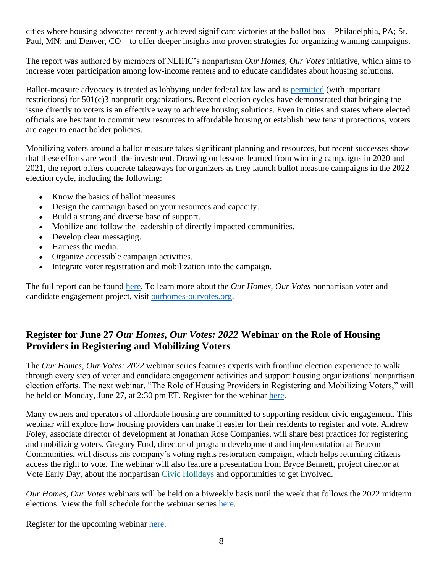cities where housing advocates recently achieved significant victories at the ballot box – Philadelphia, PA; St. Paul, MN; and Denver, CO – to offer deeper insights into proven strategies for organizing winning campaigns.

The report was authored by members of NLIHC's nonpartisan *Our Homes, Our Votes* initiative, which aims to increase voter participation among low-income renters and to educate candidates about housing solutions.

Ballot-measure advocacy is treated as lobbying under federal tax law and is [permitted](https://bolderadvocacy.org/resource-library/tools-for-effective-advocacy/toolkits/ballot-measures-toolkit/501c3-public-charities-and-ballot-measures/) (with important restrictions) for 501(c)3 nonprofit organizations. Recent election cycles have demonstrated that bringing the issue directly to voters is an effective way to achieve housing solutions. Even in cities and states where elected officials are hesitant to commit new resources to affordable housing or establish new tenant protections, voters are eager to enact bolder policies.

Mobilizing voters around a ballot measure takes significant planning and resources, but recent successes show that these efforts are worth the investment. Drawing on lessons learned from winning campaigns in 2020 and 2021, the report offers concrete takeaways for organizers as they launch ballot measure campaigns in the 2022 election cycle, including the following:

- Know the basics of ballot measures.
- Design the campaign based on your resources and capacity.
- Build a strong and diverse base of support.
- Mobilize and follow the leadership of directly impacted communities.
- Develop clear messaging.
- Harness the media.
- Organize accessible campaign activities.
- Integrate voter registration and mobilization into the campaign.

The full report can be found [here.](https://nlihc.org/sites/default/files/2022-Ballot-Initiative.pdf) To learn more about the *Our Homes, Our Votes* nonpartisan voter and candidate engagement project, visit [ourhomes-ourvotes.org.](https://www.ourhomes-ourvotes.org/)

# **Register for June 27** *Our Homes, Our Votes: 2022* **Webinar on the Role of Housing Providers in Registering and Mobilizing Voters**

The *Our Homes, Our Votes: 2022* webinar series features experts with frontline election experience to walk through every step of voter and candidate engagement activities and support housing organizations' nonpartisan election efforts. The next webinar, "The Role of Housing Providers in Registering and Mobilizing Voters," will be held on Monday, June 27, at 2:30 pm ET. Register for the webinar [here.](https://us02web.zoom.us/webinar/register/WN_GvAr3T_pSZGRNqcvU7YMyg?utm_source=NLIHC+All+Subscribers&utm_campaign=ec667ab5cf-ohovnewsletter_06162022&utm_medium=email&utm_term=0_e090383b5e-ec667ab5cf-&ct=t(ohovnewsletter_06162022))

Many owners and operators of affordable housing are committed to supporting resident civic engagement. This webinar will explore how housing providers can make it easier for their residents to register and vote. Andrew Foley, associate director of development at Jonathan Rose Companies, will share best practices for registering and mobilizing voters. Gregory Ford, director of program development and implementation at Beacon Communities, will discuss his company's voting rights restoration campaign, which helps returning citizens access the right to vote. The webinar will also feature a presentation from Bryce Bennett, project director at Vote Early Day, about the nonpartisan [Civic Holidays](https://nam04.safelinks.protection.outlook.com/?url=https%3A%2F%2Fcivicholidays.org%2F%3Futm_source%3DNLIHC%2BAll%2BSubscribers%26utm_campaign%3Dec667ab5cf-ohovnewsletter_06162022%26utm_medium%3Demail%26utm_term%3D0_e090383b5e-ec667ab5cf-%26ct%3Dt(ohovnewsletter_06162022)&data=05%7C01%7C%7Ce300f98e8252435c691a08da4f0bbf03%7Cd9ab7747cd104372b0b3229c61592adf%7C0%7C0%7C637909209129755512%7CUnknown%7CTWFpbGZsb3d8eyJWIjoiMC4wLjAwMDAiLCJQIjoiV2luMzIiLCJBTiI6Ik1haWwiLCJXVCI6Mn0%3D%7C3000%7C%7C%7C&sdata=AUDHigGucocThM932HCIOTzXhGSMXoIZI7sylfvbh4Y%3D&reserved=0) and opportunities to get involved.

*Our Homes, Our Votes* webinars will be held on a biweekly basis until the week that follows the 2022 midterm elections. View the full schedule for the webinar series [here.](https://www.ourhomes-ourvotes.org/webinars)

Register for the upcoming webinar [here.](https://us02web.zoom.us/webinar/register/WN_GvAr3T_pSZGRNqcvU7YMyg?utm_source=NLIHC+All+Subscribers&utm_campaign=ec667ab5cf-ohovnewsletter_06162022&utm_medium=email&utm_term=0_e090383b5e-ec667ab5cf-&ct=t(ohovnewsletter_06162022))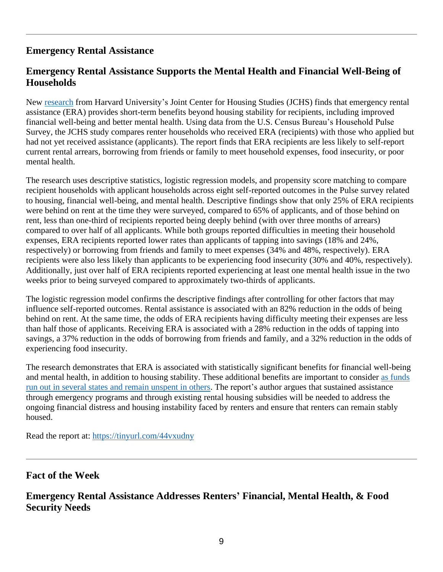# **Emergency Rental Assistance**

# **Emergency Rental Assistance Supports the Mental Health and Financial Well-Being of Households**

New [research](https://www.jchs.harvard.edu/sites/default/files/research/files/harvard_jchs_short_term_era_benefits_airgood-obrycki_2022.pdf) from Harvard University's Joint Center for Housing Studies (JCHS) finds that emergency rental assistance (ERA) provides short-term benefits beyond housing stability for recipients, including improved financial well-being and better mental health. Using data from the U.S. Census Bureau's Household Pulse Survey, the JCHS study compares renter households who received ERA (recipients) with those who applied but had not yet received assistance (applicants). The report finds that ERA recipients are less likely to self-report current rental arrears, borrowing from friends or family to meet household expenses, food insecurity, or poor mental health.

The research uses descriptive statistics, logistic regression models, and propensity score matching to compare recipient households with applicant households across eight self-reported outcomes in the Pulse survey related to housing, financial well-being, and mental health. Descriptive findings show that only 25% of ERA recipients were behind on rent at the time they were surveyed, compared to 65% of applicants, and of those behind on rent, less than one-third of recipients reported being deeply behind (with over three months of arrears) compared to over half of all applicants. While both groups reported difficulties in meeting their household expenses, ERA recipients reported lower rates than applicants of tapping into savings (18% and 24%, respectively) or borrowing from friends and family to meet expenses (34% and 48%, respectively). ERA recipients were also less likely than applicants to be experiencing food insecurity (30% and 40%, respectively). Additionally, just over half of ERA recipients reported experiencing at least one mental health issue in the two weeks prior to being surveyed compared to approximately two-thirds of applicants.

The logistic regression model confirms the descriptive findings after controlling for other factors that may influence self-reported outcomes. Rental assistance is associated with an 82% reduction in the odds of being behind on rent. At the same time, the odds of ERA recipients having difficulty meeting their expenses are less than half those of applicants. Receiving ERA is associated with a 28% reduction in the odds of tapping into savings, a 37% reduction in the odds of borrowing from friends and family, and a 32% reduction in the odds of experiencing food insecurity.

The research demonstrates that ERA is associated with statistically significant benefits for financial well-being and mental health, in addition to housing stability. These additional benefits are important to consider [as funds](https://nlihc.org/sites/default/files/2022-05/era-balancing-act.pdf)  [run out in several states and remain unspent in others.](https://nlihc.org/sites/default/files/2022-05/era-balancing-act.pdf) The report's author argues that sustained assistance through emergency programs and through existing rental housing subsidies will be needed to address the ongoing financial distress and housing instability faced by renters and ensure that renters can remain stably housed.

Read the report at:<https://tinyurl.com/44vxudny>

#### **Fact of the Week**

### **Emergency Rental Assistance Addresses Renters' Financial, Mental Health, & Food Security Needs**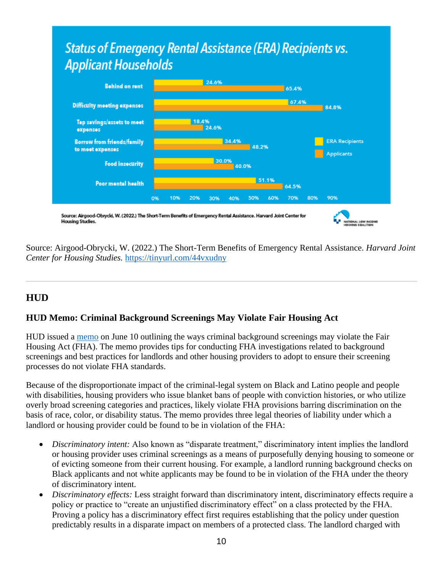# **Status of Emergency Rental Assistance (ERA) Recipients vs. Applicant Households**



Source: Airgood-Obrycki, W. (2022.) The Short-Term Benefits of Emergency Rental Assistance. *Harvard Joint Center for Housing Studies.* <https://tinyurl.com/44vxudny>

TIONAL LOW INCO

# **HUD**

Housing Studies.

#### **HUD Memo: Criminal Background Screenings May Violate Fair Housing Act**

HUD issued a [memo](https://www.hud.gov/sites/dfiles/FHEO/documents/Implementation%20of%20OGC%20Guidance%20on%20Application%20of%20FHA%20Standards%20to%20the%20Use%20of%20Criminal%20Records%20-%20June%2010%202022.pdf) on June 10 outlining the ways criminal background screenings may violate the Fair Housing Act (FHA). The memo provides tips for conducting FHA investigations related to background screenings and best practices for landlords and other housing providers to adopt to ensure their screening processes do not violate FHA standards.

Because of the disproportionate impact of the criminal-legal system on Black and Latino people and people with disabilities, housing providers who issue blanket bans of people with conviction histories, or who utilize overly broad screening categories and practices, likely violate FHA provisions barring discrimination on the basis of race, color, or disability status. The memo provides three legal theories of liability under which a landlord or housing provider could be found to be in violation of the FHA:

- *Discriminatory intent:* Also known as "disparate treatment," discriminatory intent implies the landlord or housing provider uses criminal screenings as a means of purposefully denying housing to someone or of evicting someone from their current housing. For example, a landlord running background checks on Black applicants and not white applicants may be found to be in violation of the FHA under the theory of discriminatory intent.
- *Discriminatory effects:* Less straight forward than discriminatory intent, discriminatory effects require a policy or practice to "create an unjustified discriminatory effect" on a class protected by the FHA. Proving a policy has a discriminatory effect first requires establishing that the policy under question predictably results in a disparate impact on members of a protected class. The landlord charged with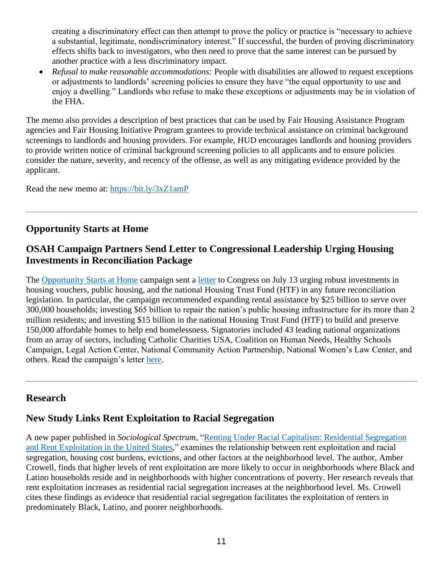creating a discriminatory effect can then attempt to prove the policy or practice is "necessary to achieve a substantial, legitimate, nondiscriminatory interest." If successful, the burden of proving discriminatory effects shifts back to investigators, who then need to prove that the same interest can be pursued by another practice with a less discriminatory impact.

• *Refusal to make reasonable accommodations:* People with disabilities are allowed to request exceptions or adjustments to landlords' screening policies to ensure they have "the equal opportunity to use and enjoy a dwelling." Landlords who refuse to make these exceptions or adjustments may be in violation of the FHA.

The memo also provides a description of best practices that can be used by Fair Housing Assistance Program agencies and Fair Housing Initiative Program grantees to provide technical assistance on criminal background screenings to landlords and housing providers. For example, HUD encourages landlords and housing providers to provide written notice of criminal background screening policies to all applicants and to ensure policies consider the nature, severity, and recency of the offense, as well as any mitigating evidence provided by the applicant.

Read the new memo at:<https://bit.ly/3xZ1amP>

# **Opportunity Starts at Home**

#### **OSAH Campaign Partners Send Letter to Congressional Leadership Urging Housing Investments in Reconciliation Package**

The [Opportunity Starts at Home](https://www.opportunityhome.org/) campaign sent a [letter](https://www.opportunityhome.org/resources/campaign-sends-letter-to-congressional-leadership-6/) to Congress on July 13 urging robust investments in housing vouchers, public housing, and the national Housing Trust Fund (HTF) in any future reconciliation legislation. In particular, the campaign recommended expanding rental assistance by \$25 billion to serve over 300,000 households; investing \$65 billion to repair the nation's public housing infrastructure for its more than 2 million residents; and investing \$15 billion in the national Housing Trust Fund (HTF) to build and preserve 150,000 affordable homes to help end homelessness. Signatories included 43 leading national organizations from an array of sectors, including Catholic Charities USA, Coalition on Human Needs, Healthy Schools Campaign, Legal Action Center, National Community Action Partnership, National Women's Law Center, and others. Read the campaign's letter [here.](https://www.opportunityhome.org/resources/campaign-sends-letter-to-congressional-leadership-6/)

#### **Research**

# **New Study Links Rent Exploitation to Racial Segregation**

A new paper published in *Sociological Spectrum,* ["Renting Under Racial Capitalism: Residential Segregation](https://bit.ly/3tDTl35)  [and Rent Exploitation in the United States,](https://bit.ly/3tDTl35)" examines the relationship between rent exploitation and racial segregation, housing cost burdens, evictions, and other factors at the neighborhood level. The author, Amber Crowell, finds that higher levels of rent exploitation are more likely to occur in neighborhoods where Black and Latino households reside and in neighborhoods with higher concentrations of poverty. Her research reveals that rent exploitation increases as residential racial segregation increases at the neighborhood level. Ms. Crowell cites these findings as evidence that residential racial segregation facilitates the exploitation of renters in predominately Black, Latino, and poorer neighborhoods.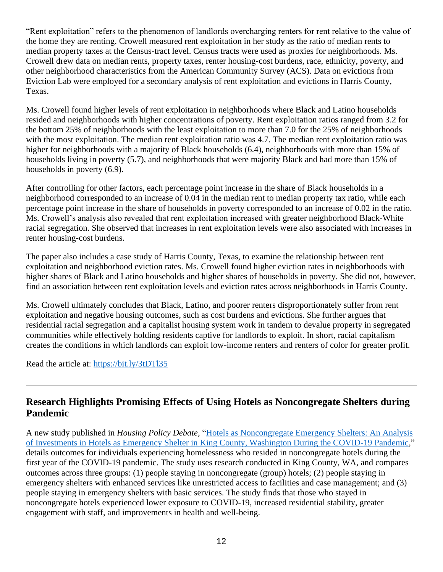"Rent exploitation" refers to the phenomenon of landlords overcharging renters for rent relative to the value of the home they are renting. Crowell measured rent exploitation in her study as the ratio of median rents to median property taxes at the Census-tract level. Census tracts were used as proxies for neighborhoods. Ms. Crowell drew data on median rents, property taxes, renter housing-cost burdens, race, ethnicity, poverty, and other neighborhood characteristics from the American Community Survey (ACS). Data on evictions from Eviction Lab were employed for a secondary analysis of rent exploitation and evictions in Harris County, Texas.

Ms. Crowell found higher levels of rent exploitation in neighborhoods where Black and Latino households resided and neighborhoods with higher concentrations of poverty. Rent exploitation ratios ranged from 3.2 for the bottom 25% of neighborhoods with the least exploitation to more than 7.0 for the 25% of neighborhoods with the most exploitation. The median rent exploitation ratio was 4.7. The median rent exploitation ratio was higher for neighborhoods with a majority of Black households (6.4), neighborhoods with more than 15% of households living in poverty (5.7), and neighborhoods that were majority Black and had more than 15% of households in poverty (6.9).

After controlling for other factors, each percentage point increase in the share of Black households in a neighborhood corresponded to an increase of 0.04 in the median rent to median property tax ratio, while each percentage point increase in the share of households in poverty corresponded to an increase of 0.02 in the ratio. Ms. Crowell's analysis also revealed that rent exploitation increased with greater neighborhood Black-White racial segregation. She observed that increases in rent exploitation levels were also associated with increases in renter housing-cost burdens.

The paper also includes a case study of Harris County, Texas, to examine the relationship between rent exploitation and neighborhood eviction rates. Ms. Crowell found higher eviction rates in neighborhoods with higher shares of Black and Latino households and higher shares of households in poverty. She did not, however, find an association between rent exploitation levels and eviction rates across neighborhoods in Harris County.

Ms. Crowell ultimately concludes that Black, Latino, and poorer renters disproportionately suffer from rent exploitation and negative housing outcomes, such as cost burdens and evictions. She further argues that residential racial segregation and a capitalist housing system work in tandem to devalue property in segregated communities while effectively holding residents captive for landlords to exploit. In short, racial capitalism creates the conditions in which landlords can exploit low-income renters and renters of color for greater profit.

Read the article at:<https://bit.ly/3tDTl35>

### **Research Highlights Promising Effects of Using Hotels as Noncongregate Shelters during Pandemic**

A new study published in *Housing Policy Debate,* ["Hotels as Noncongregate Emergency Shelters: An Analysis](https://nlihc.org/sites/default/files/HPD_Hotels_Noncongregate_Shelter.pdf)  [of Investments in Hotels as Emergency Shelter in King County, Washington During the COVID-19 Pandemic,](https://nlihc.org/sites/default/files/HPD_Hotels_Noncongregate_Shelter.pdf)" details outcomes for individuals experiencing homelessness who resided in noncongregate hotels during the first year of the COVID-19 pandemic. The study uses research conducted in King County, WA, and compares outcomes across three groups: (1) people staying in noncongregate (group) hotels; (2) people staying in emergency shelters with enhanced services like unrestricted access to facilities and case management; and (3) people staying in emergency shelters with basic services. The study finds that those who stayed in noncongregate hotels experienced lower exposure to COVID-19, increased residential stability, greater engagement with staff, and improvements in health and well-being.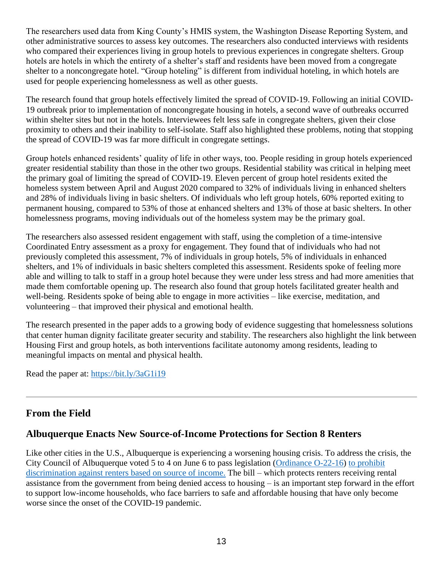The researchers used data from King County's HMIS system, the Washington Disease Reporting System, and other administrative sources to assess key outcomes. The researchers also conducted interviews with residents who compared their experiences living in group hotels to previous experiences in congregate shelters. Group hotels are hotels in which the entirety of a shelter's staff and residents have been moved from a congregate shelter to a noncongregate hotel. "Group hoteling" is different from individual hoteling, in which hotels are used for people experiencing homelessness as well as other guests.

The research found that group hotels effectively limited the spread of COVID-19. Following an initial COVID-19 outbreak prior to implementation of noncongregate housing in hotels, a second wave of outbreaks occurred within shelter sites but not in the hotels. Interviewees felt less safe in congregate shelters, given their close proximity to others and their inability to self-isolate. Staff also highlighted these problems, noting that stopping the spread of COVID-19 was far more difficult in congregate settings.

Group hotels enhanced residents' quality of life in other ways, too. People residing in group hotels experienced greater residential stability than those in the other two groups. Residential stability was critical in helping meet the primary goal of limiting the spread of COVID-19. Eleven percent of group hotel residents exited the homeless system between April and August 2020 compared to 32% of individuals living in enhanced shelters and 28% of individuals living in basic shelters. Of individuals who left group hotels, 60% reported exiting to permanent housing, compared to 53% of those at enhanced shelters and 13% of those at basic shelters. In other homelessness programs, moving individuals out of the homeless system may be the primary goal.

The researchers also assessed resident engagement with staff, using the completion of a time-intensive Coordinated Entry assessment as a proxy for engagement. They found that of individuals who had not previously completed this assessment, 7% of individuals in group hotels, 5% of individuals in enhanced shelters, and 1% of individuals in basic shelters completed this assessment. Residents spoke of feeling more able and willing to talk to staff in a group hotel because they were under less stress and had more amenities that made them comfortable opening up. The research also found that group hotels facilitated greater health and well-being. Residents spoke of being able to engage in more activities – like exercise, meditation, and volunteering – that improved their physical and emotional health.

The research presented in the paper adds to a growing body of evidence suggesting that homelessness solutions that center human dignity facilitate greater security and stability. The researchers also highlight the link between Housing First and group hotels, as both interventions facilitate autonomy among residents, leading to meaningful impacts on mental and physical health.

Read the paper at:<https://bit.ly/3aG1i19>

#### **From the Field**

#### **Albuquerque Enacts New Source-of-Income Protections for Section 8 Renters**

Like other cities in the U.S., Albuquerque is experiencing a worsening housing crisis. To address the crisis, the City Council of Albuquerque voted 5 to 4 on June 6 to pass legislation [\(Ordinance O-22-16\)](https://cabq.legistar.com/LegislationDetail.aspx?ID=5530897&GUID=3C81B466-1683-4F40-A9E5-B434C0C9519E&Options=ID%7cText%7c&Search=22-16) [to prohibit](https://sourcenm.com/2022/06/07/albuquerque-city-council-votes-to-ban-section-8-discrimination/)  [discrimination against renters based on source of income.](https://sourcenm.com/2022/06/07/albuquerque-city-council-votes-to-ban-section-8-discrimination/) The bill – which protects renters receiving rental assistance from the government from being denied access to housing – is an important step forward in the effort to support low-income households, who face barriers to safe and affordable housing that have only become worse since the onset of the COVID-19 pandemic.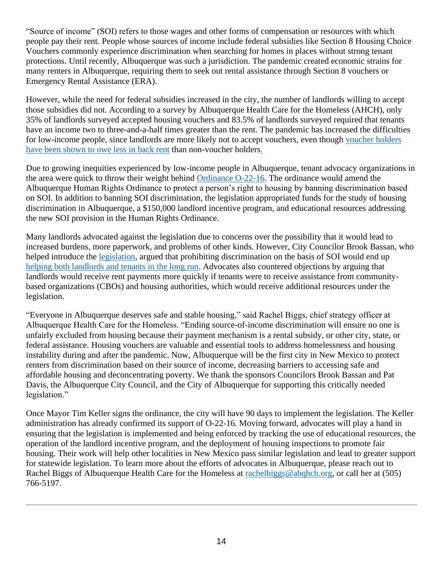"Source of income" (SOI) refers to those wages and other forms of compensation or resources with which people pay their rent. People whose sources of income include federal subsidies like Section 8 Housing Choice Vouchers commonly experience discrimination when searching for homes in places without strong tenant protections. Until recently, Albuquerque was such a jurisdiction. The pandemic created economic strains for many renters in Albuquerque, requiring them to seek out rental assistance through Section 8 vouchers or Emergency Rental Assistance (ERA).

However, while the need for federal subsidies increased in the city, the number of landlords willing to accept those subsidies did not. According to a survey by Albuquerque Health Care for the Homeless (AHCH), only 35% of landlords surveyed accepted housing vouchers and 83.5% of landlords surveyed required that tenants have an income two to three-and-a-half times greater than the rent. The pandemic has increased the difficulties for low-income people, since landlords are more likely not to accept vouchers, even though voucher holders [have been shown to owe less in back rent](https://www.urban.org/urban-wire/housing-vouchers-have-helped-tenants-and-landlords-weather-pandemic) than non-voucher holders.

Due to growing inequities experienced by low-income people in Albuquerque, tenant advocacy organizations in the area were quick to throw their weight behind [Ordinance O-22-16.](https://cabq.legistar.com/LegislationDetail.aspx?ID=5530897&GUID=3C81B466-1683-4F40-A9E5-B434C0C9519E&Options=ID%7cText%7c&Search=22-16) The ordinance would amend the Albuquerque Human Rights Ordinance to protect a person's right to housing by banning discrimination based on SOI. In addition to banning SOI discrimination, the legislation appropriated funds for the study of housing discrimination in Albuquerque, a \$150,000 landlord incentive program, and educational resources addressing the new SOI provision in the Human Rights Ordinance.

Many landlords advocated against the legislation due to concerns over the possibility that it would lead to increased burdens, more paperwork, and problems of other kinds. However, City Councilor Brook Bassan, who helped introduce the [legislation,](https://cabq.legistar.com/LegislationDetail.aspx?ID=5530897&GUID=3C81B466-1683-4F40-A9E5-B434C0C9519E&Options=ID%7cText%7c&Search=22-16) argued that prohibiting discrimination on the basis of SOI would end up helping [both landlords and tenants](https://www.abqjournal.com/2506348/council-votes-to-outlaw-rental-voucher-discrimination.html) in the long run. Advocates also countered objections by arguing that landlords would receive rent payments more quickly if tenants were to receive assistance from communitybased organizations (CBOs) and housing authorities, which would receive additional resources under the legislation.

"Everyone in Albuquerque deserves safe and stable housing," said Rachel Biggs, chief strategy officer at Albuquerque Health Care for the Homeless. "Ending source-of-income discrimination will ensure no one is unfairly excluded from housing because their payment mechanism is a rental subsidy, or other city, state, or federal assistance. Housing vouchers are valuable and essential tools to address homelessness and housing instability during and after the pandemic. Now, Albuquerque will be the first city in New Mexico to protect renters from discrimination based on their source of income, decreasing barriers to accessing safe and affordable housing and deconcentrating poverty. We thank the sponsors Councilors Brook Bassan and Pat Davis, the Albuquerque City Council, and the City of Albuquerque for supporting this critically needed legislation."

Once Mayor Tim Keller signs the ordinance, the city will have 90 days to implement the legislation. The Keller administration has already confirmed its support of O-22-16. Moving forward, advocates will play a hand in ensuring that the legislation is implemented and being enforced by tracking the use of educational resources, the operation of the landlord incentive program, and the deployment of housing inspections to promote fair housing. Their work will help other localities in New Mexico pass similar legislation and lead to greater support for statewide legislation. To learn more about the efforts of advocates in Albuquerque, please reach out to Rachel Biggs of Albuquerque Health Care for the Homeless at [rachelbiggs@abqhch.org,](mailto:rachelbiggs@abqhch.org) or call her at (505) 766-5197.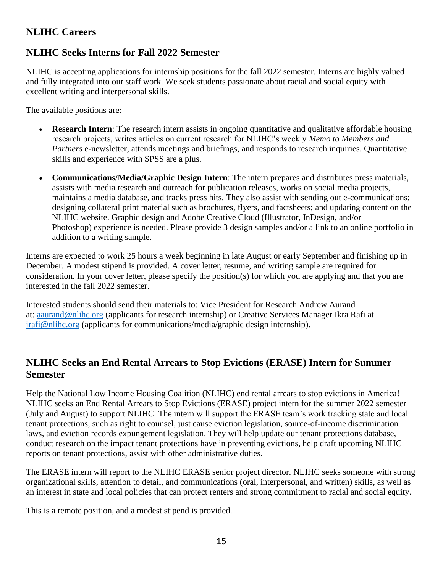# **NLIHC Careers**

# **NLIHC Seeks Interns for Fall 2022 Semester**

NLIHC is accepting applications for internship positions for the fall 2022 semester. Interns are highly valued and fully integrated into our staff work. We seek students passionate about racial and social equity with excellent writing and interpersonal skills.

The available positions are:

- **Research Intern**: The research intern assists in ongoing quantitative and qualitative affordable housing research projects, writes articles on current research for NLIHC's weekly *Memo to Members and Partners* e-newsletter*,* attends meetings and briefings, and responds to research inquiries. Quantitative skills and experience with SPSS are a plus.
- **Communications/Media/Graphic Design Intern**: The intern prepares and distributes press materials, assists with media research and outreach for publication releases, works on social media projects, maintains a media database, and tracks press hits. They also assist with sending out e-communications; designing collateral print material such as brochures, flyers, and factsheets; and updating content on the NLIHC website. Graphic design and Adobe Creative Cloud (Illustrator, InDesign, and/or Photoshop) experience is needed. Please provide 3 design samples and/or a link to an online portfolio in addition to a writing sample.

Interns are expected to work 25 hours a week beginning in late August or early September and finishing up in December. A modest stipend is provided. A cover letter, resume, and writing sample are required for consideration. In your cover letter, please specify the position(s) for which you are applying and that you are interested in the fall 2022 semester.

Interested students should send their materials to: Vice President for Research Andrew Aurand at: [aaurand@nlihc.org](mailto:aaurand@nlihc.org) (applicants for research internship) or Creative Services Manager Ikra Rafi at [irafi@nlihc.org](mailto:irafi@nlihc.org) (applicants for communications/media/graphic design internship).

### **NLIHC Seeks an End Rental Arrears to Stop Evictions (ERASE) Intern for Summer Semester**

Help the National Low Income Housing Coalition (NLIHC) end rental arrears to stop evictions in America! NLIHC seeks an End Rental Arrears to Stop Evictions (ERASE) project intern for the summer 2022 semester (July and August) to support NLIHC. The intern will support the ERASE team's work tracking state and local tenant protections, such as right to counsel, just cause eviction legislation, source-of-income discrimination laws, and eviction records expungement legislation. They will help update our tenant protections database, conduct research on the impact tenant protections have in preventing evictions, help draft upcoming NLIHC reports on tenant protections, assist with other administrative duties.

The ERASE intern will report to the NLIHC ERASE senior project director. NLIHC seeks someone with strong organizational skills, attention to detail, and communications (oral, interpersonal, and written) skills, as well as an interest in state and local policies that can protect renters and strong commitment to racial and social equity.

This is a remote position, and a modest stipend is provided.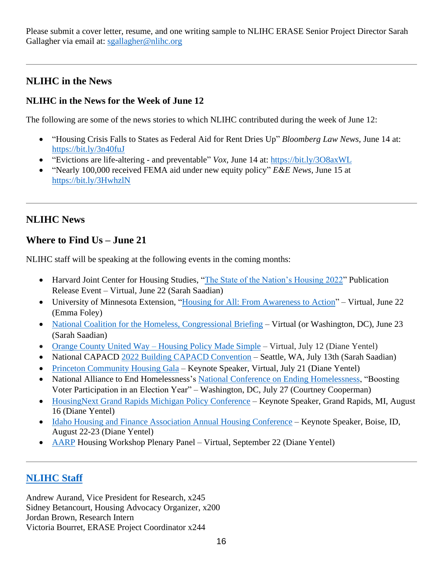Please submit a cover letter, resume, and one writing sample to NLIHC ERASE Senior Project Director Sarah Gallagher via email at: [sgallagher@nlihc.org](mailto:sgallagher@nlihc.org)

# **NLIHC in the News**

#### **NLIHC in the News for the Week of June 12**

The following are some of the news stories to which NLIHC contributed during the week of June 12:

- "Housing Crisis Falls to States as Federal Aid for Rent Dries Up" *Bloomberg Law News,* June 14 at: <https://bit.ly/3n40fuJ>
- "Evictions are life-altering and preventable" *Vox,* June 14 at:<https://bit.ly/3O8axWL>
- "Nearly 100,000 received FEMA aid under new equity policy" *E&E News,* June 15 at <https://bit.ly/3HwhzlN>

# **NLIHC News**

### **Where to Find Us – June 21**

NLIHC staff will be speaking at the following events in the coming months:

- Harvard Joint Center for Housing Studies, ["The State of the Nation's Housing 2022"](https://www.jchs.harvard.edu/calendar/state-nations-housing-2022) Publication Release Event – Virtual, June 22 (Sarah Saadian)
- University of Minnesota Extension, ["Housing for All: From Awareness to Action"](https://extension.umn.edu/event/housing-all-awareness-action) Virtual, June 22 (Emma Foley)
- [National Coalition for the Homeless, Congressional Briefing](https://nationalhomeless.org/) Virtual (or Washington, DC), June 23 (Sarah Saadian)
- Orange County United Way [Housing Policy Made Simple](https://www.unitedwayoc.org/about-us/) Virtual, July 12 (Diane Yentel)
- National CAPACD [2022 Building CAPACD Convention](https://nam04.safelinks.protection.outlook.com/?url=https%3A%2F%2Fwww.nationalcapacd.org%2Fevents%2F2022-building-capacd-convention%2F&data=05%7C01%7C%7Cfcf0ccee7da1471c418b08da43ef7adf%7Cd9ab7747cd104372b0b3229c61592adf%7C0%7C0%7C637896993139328742%7CUnknown%7CTWFpbGZsb3d8eyJWIjoiMC4wLjAwMDAiLCJQIjoiV2luMzIiLCJBTiI6Ik1haWwiLCJXVCI6Mn0%3D%7C3000%7C%7C%7C&sdata=qQLOd581h%2FlZKpH302nVIvdjR9EMVE03vjS11hh7CxI%3D&reserved=0) Seattle, WA, July 13th (Sarah Saadian)
- [Princeton Community Housing Gala](https://www.pchhomes.org/) Keynote Speaker, Virtual, July 21 (Diane Yentel)
- National Alliance to End Homelessness's [National Conference on Ending Homelessness,](https://endhomelessness.org/events/conferences/2022-national-conference-on-ending-homelessness/) "Boosting Voter Participation in an Election Year" – Washington, DC, July 27 (Courtney Cooperman)
- [HousingNext Grand Rapids Michigan Policy Conference](https://www.housingnext.org/) Keynote Speaker, Grand Rapids, MI, August 16 (Diane Yentel)
- [Idaho Housing and Finance Association Annual Housing Conference](https://www.idahohousing.com/housing-conference/) Keynote Speaker, Boise, ID, August 22-23 (Diane Yentel)
- [AARP](https://www.aarp.org/) Housing Workshop Plenary Panel Virtual, September 22 (Diane Yentel)

# **[NLIHC](https://nlihc.org/about/staff) Staff**

Andrew Aurand, Vice President for Research, x245 Sidney Betancourt, Housing Advocacy Organizer, x200 Jordan Brown, Research Intern Victoria Bourret, ERASE Project Coordinator x244